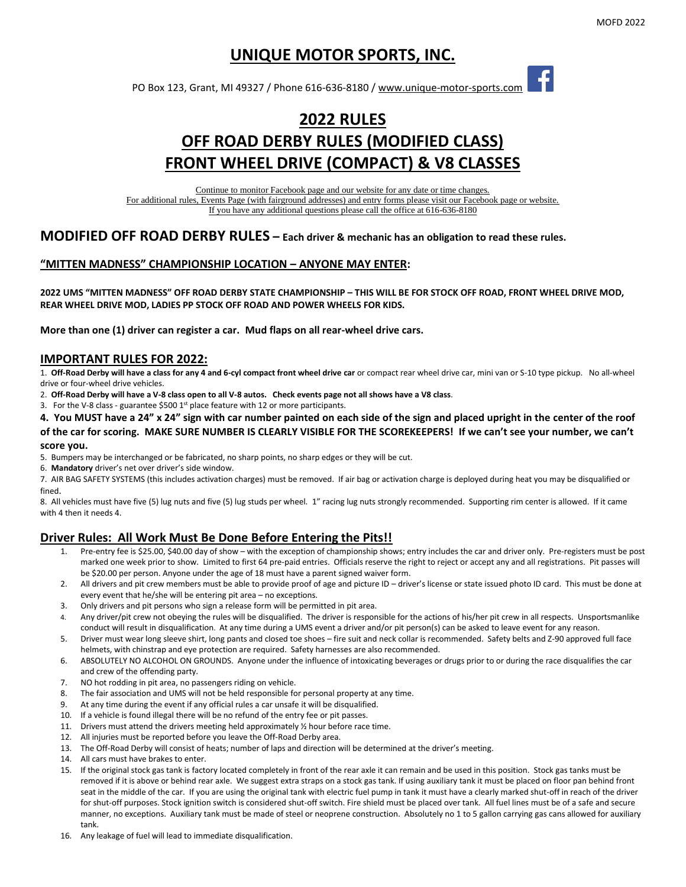## **UNIQUE MOTOR SPORTS, INC.**

PO Box 123, Grant, MI 49327 / Phone 616-636-8180 / [www.unique-motor-sports.com](http://www.unique-motor-sports.com/) 

# **2022 RULES OFF ROAD DERBY RULES (MODIFIED CLASS) FRONT WHEEL DRIVE (COMPACT) & V8 CLASSES**

Continue to monitor Facebook page and our website for any date or time changes. For additional rules, Events Page (with fairground addresses) and entry forms please visit our Facebook page or website. If you have any additional questions please call the office at 616-636-8180

### **MODIFIED OFF ROAD DERBY RULES – Each driver & mechanic has an obligation to read these rules.**

#### **"MITTEN MADNESS" CHAMPIONSHIP LOCATION – ANYONE MAY ENTER:**

**2022 UMS "MITTEN MADNESS" OFF ROAD DERBY STATE CHAMPIONSHIP – THIS WILL BE FOR STOCK OFF ROAD, FRONT WHEEL DRIVE MOD, REAR WHEEL DRIVE MOD, LADIES PP STOCK OFF ROAD AND POWER WHEELS FOR KIDS.**

**More than one (1) driver can register a car. Mud flaps on all rear-wheel drive cars.**

#### **IMPORTANT RULES FOR 2022:**

1. **Off-Road Derby will have a class for any 4 and 6-cyl compact front wheel drive car** or compact rear wheel drive car, mini van or S-10 type pickup. No all-wheel drive or four-wheel drive vehicles.

2. **Off-Road Derby will have a V-8 class open to all V-8 autos. Check events page not all shows have a V8 class**.

3. For the V-8 class - guarantee \$500  $1<sup>st</sup>$  place feature with 12 or more participants.

**4. You MUST have a 24" x 24" sign with car number painted on each side of the sign and placed upright in the center of the roof of the car for scoring. MAKE SURE NUMBER IS CLEARLY VISIBLE FOR THE SCOREKEEPERS! If we can't see your number, we can't score you.** 

5. Bumpers may be interchanged or be fabricated, no sharp points, no sharp edges or they will be cut.

6. **Mandatory** driver's net over driver's side window.

7. AIR BAG SAFETY SYSTEMS (this includes activation charges) must be removed. If air bag or activation charge is deployed during heat you may be disqualified or fined.

8. All vehicles must have five (5) lug nuts and five (5) lug studs per wheel. 1" racing lug nuts strongly recommended. Supporting rim center is allowed. If it came with 4 then it needs 4.

#### **Driver Rules: All Work Must Be Done Before Entering the Pits!!**

- 1. Pre-entry fee is \$25.00, \$40.00 day of show with the exception of championship shows; entry includes the car and driver only. Pre-registers must be post marked one week prior to show. Limited to first 64 pre-paid entries. Officials reserve the right to reject or accept any and all registrations. Pit passes will be \$20.00 per person. Anyone under the age of 18 must have a parent signed waiver form.
- 2. All drivers and pit crew members must be able to provide proof of age and picture ID driver's license or state issued photo ID card. This must be done at every event that he/she will be entering pit area – no exceptions.
- 3. Only drivers and pit persons who sign a release form will be permitted in pit area.
- 4. Any driver/pit crew not obeying the rules will be disqualified. The driver is responsible for the actions of his/her pit crew in all respects. Unsportsmanlike conduct will result in disqualification. At any time during a UMS event a driver and/or pit person(s) can be asked to leave event for any reason.
- 5. Driver must wear long sleeve shirt, long pants and closed toe shoes fire suit and neck collar is recommended. Safety belts and Z-90 approved full face helmets, with chinstrap and eye protection are required. Safety harnesses are also recommended.
- 6. ABSOLUTELY NO ALCOHOL ON GROUNDS. Anyone under the influence of intoxicating beverages or drugs prior to or during the race disqualifies the car and crew of the offending party.
- 7. NO hot rodding in pit area, no passengers riding on vehicle.
- 8. The fair association and UMS will not be held responsible for personal property at any time.
- 9. At any time during the event if any official rules a car unsafe it will be disqualified.
- 10. If a vehicle is found illegal there will be no refund of the entry fee or pit passes.
- 11. Drivers must attend the drivers meeting held approximately  $\frac{y}{x}$  hour before race time.
- 12. All injuries must be reported before you leave the Off-Road Derby area.
- 13. The Off-Road Derby will consist of heats; number of laps and direction will be determined at the driver's meeting.
- 14. All cars must have brakes to enter.
- 15. If the original stock gas tank is factory located completely in front of the rear axle it can remain and be used in this position. Stock gas tanks must be removed if it is above or behind rear axle. We suggest extra straps on a stock gas tank. If using auxiliary tank it must be placed on floor pan behind front seat in the middle of the car. If you are using the original tank with electric fuel pump in tank it must have a clearly marked shut-off in reach of the driver for shut-off purposes. Stock ignition switch is considered shut-off switch. Fire shield must be placed over tank. All fuel lines must be of a safe and secure manner, no exceptions. Auxiliary tank must be made of steel or neoprene construction. Absolutely no 1 to 5 gallon carrying gas cans allowed for auxiliary tank.
- 16. Any leakage of fuel will lead to immediate disqualification.